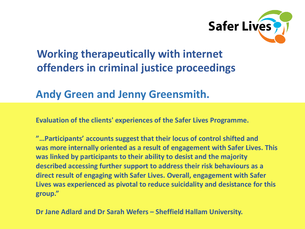

### **Working therapeutically with internet offenders in criminal justice proceedings**

#### **Andy Green and Jenny Greensmith.**

**Evaluation of the clients' experiences of the Safer Lives Programme.**

**"…Participants' accounts suggest that their locus of control shifted and was more internally oriented as a result of engagement with Safer Lives. This was linked by participants to their ability to desist and the majority described accessing further support to address their risk behaviours as a direct result of engaging with Safer Lives. Overall, engagement with Safer Lives was experienced as pivotal to reduce suicidality and desistance for this group."**

**Dr Jane Adlard and Dr Sarah Wefers – Sheffield Hallam University.**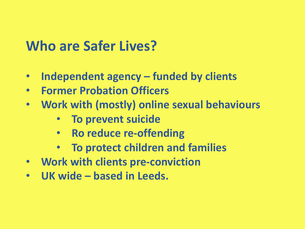# **Who are Safer Lives?**

- **Independent agency – funded by clients**
- **Former Probation Officers**
- **Work with (mostly) online sexual behaviours**
	- **To prevent suicide**
	- **Ro reduce re-offending**
	- **To protect children and families**
- **Work with clients pre-conviction**
- **UK wide – based in Leeds.**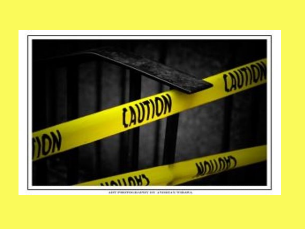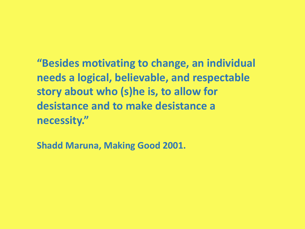**"Besides motivating to change, an individual needs a logical, believable, and respectable story about who (s)he is, to allow for desistance and to make desistance a necessity."**

**Shadd Maruna, Making Good 2001.**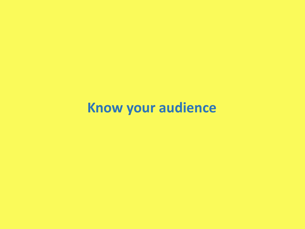**Know your audience**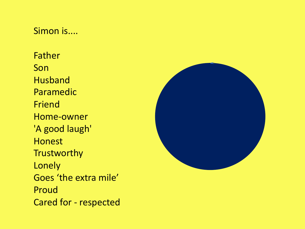#### Simon is....

Father Son Husband Paramedic Friend Home-owner 'A good laugh' Honest **Trustworthy** Lonely Goes 'the extra mile' Proud Cared for - respected

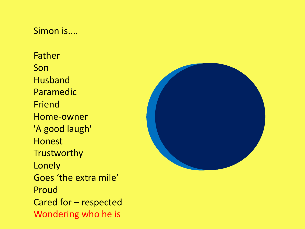#### Simon is....

Father Son Husband Paramedic Friend Home-owner 'A good laugh' Honest **Trustworthy Lonely** Goes 'the extra mile' Proud Cared for – respected Wondering who he is

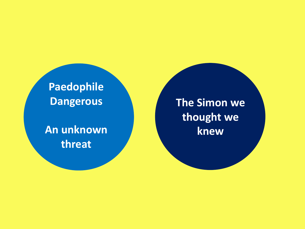## **Paedophile Dangerous**

## **An unknown threat**

**The Simon we thought we knew**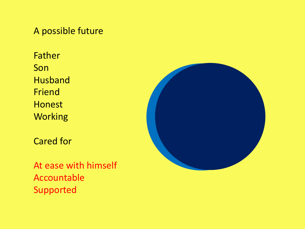#### A possible future

Father Son Husband Friend Honest **Working** 

Cared for

At ease with himself Accountable **Supported** 

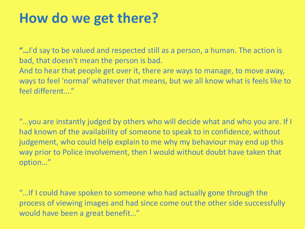# **How do we get there?**

**"…**I'd say to be valued and respected still as a person, a human. The action is bad, that doesn't mean the person is bad. And to hear that people get over it, there are ways to manage, to move away, ways to feel 'normal' whatever that means, but we all know what is feels like to feel different…."

"…you are instantly judged by others who will decide what and who you are. If I had known of the availability of someone to speak to in confidence, without judgement, who could help explain to me why my behaviour may end up this way prior to Police involvement, then I would without doubt have taken that option…"

"…If I could have spoken to someone who had actually gone through the process of viewing images and had since come out the other side successfully would have been a great benefit…"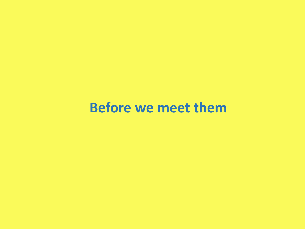## **Before we meet them**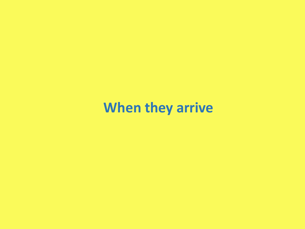**When they arrive**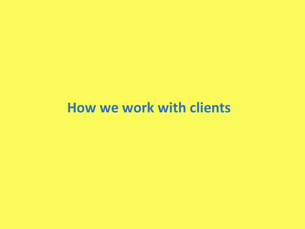## **How we work with clients**